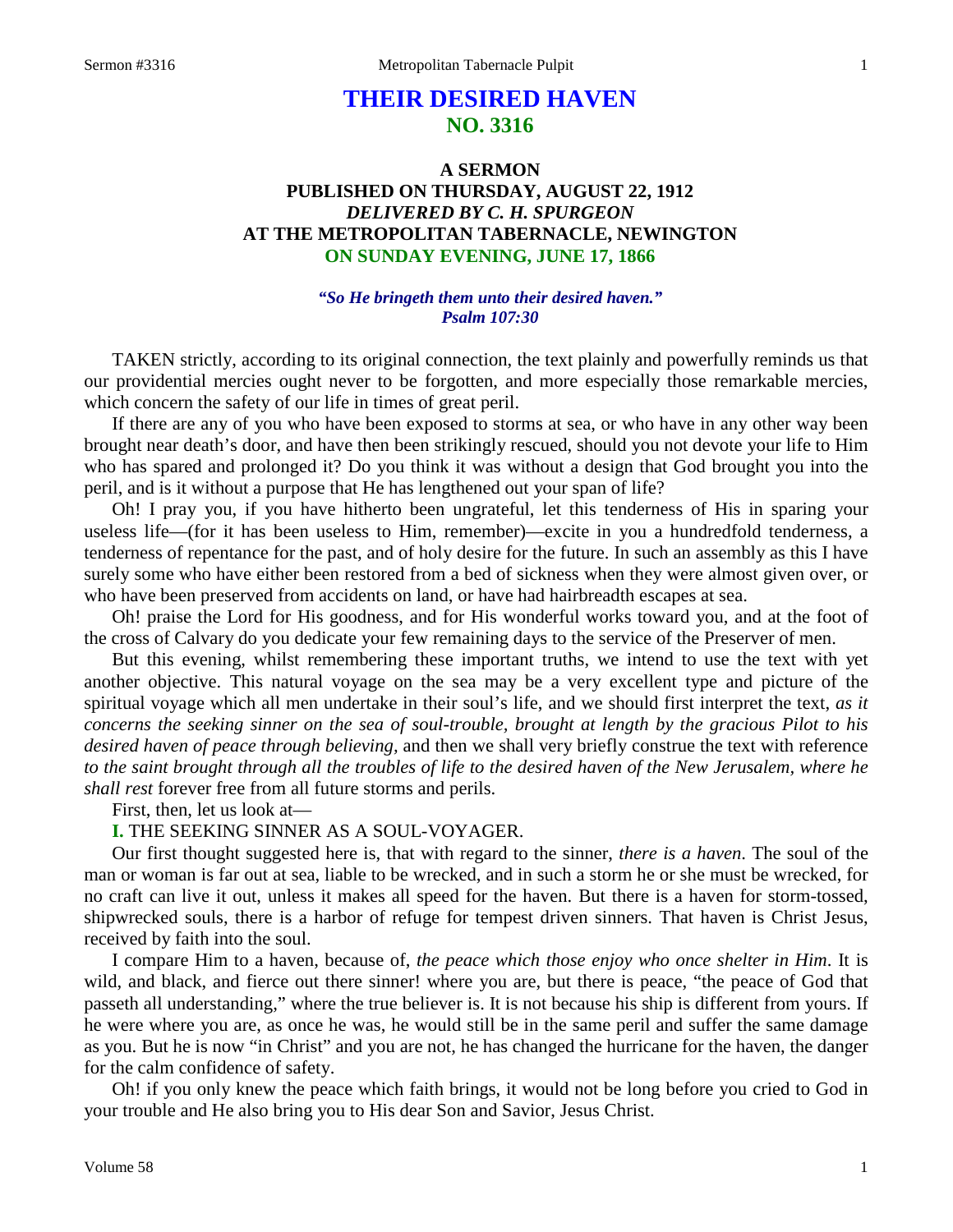# **THEIR DESIRED HAVEN NO. 3316**

# **A SERMON PUBLISHED ON THURSDAY, AUGUST 22, 1912** *DELIVERED BY C. H. SPURGEON* **AT THE METROPOLITAN TABERNACLE, NEWINGTON ON SUNDAY EVENING, JUNE 17, 1866**

#### *"So He bringeth them unto their desired haven." Psalm 107:30*

TAKEN strictly, according to its original connection, the text plainly and powerfully reminds us that our providential mercies ought never to be forgotten, and more especially those remarkable mercies, which concern the safety of our life in times of great peril.

If there are any of you who have been exposed to storms at sea, or who have in any other way been brought near death's door, and have then been strikingly rescued, should you not devote your life to Him who has spared and prolonged it? Do you think it was without a design that God brought you into the peril, and is it without a purpose that He has lengthened out your span of life?

Oh! I pray you, if you have hitherto been ungrateful, let this tenderness of His in sparing your useless life—(for it has been useless to Him, remember)—excite in you a hundredfold tenderness, a tenderness of repentance for the past, and of holy desire for the future. In such an assembly as this I have surely some who have either been restored from a bed of sickness when they were almost given over, or who have been preserved from accidents on land, or have had hairbreadth escapes at sea.

Oh! praise the Lord for His goodness, and for His wonderful works toward you, and at the foot of the cross of Calvary do you dedicate your few remaining days to the service of the Preserver of men.

But this evening, whilst remembering these important truths, we intend to use the text with yet another objective. This natural voyage on the sea may be a very excellent type and picture of the spiritual voyage which all men undertake in their soul's life, and we should first interpret the text, *as it concerns the seeking sinner on the sea of soul-trouble, brought at length by the gracious Pilot to his desired haven of peace through believing,* and then we shall very briefly construe the text with reference *to the saint brought through all the troubles of life to the desired haven of the New Jerusalem, where he shall rest* forever free from all future storms and perils.

First, then, let us look at—

**I.** THE SEEKING SINNER AS A SOUL-VOYAGER.

Our first thought suggested here is, that with regard to the sinner, *there is a haven*. The soul of the man or woman is far out at sea, liable to be wrecked, and in such a storm he or she must be wrecked, for no craft can live it out, unless it makes all speed for the haven. But there is a haven for storm-tossed, shipwrecked souls, there is a harbor of refuge for tempest driven sinners. That haven is Christ Jesus, received by faith into the soul.

I compare Him to a haven, because of, *the peace which those enjoy who once shelter in Him*. It is wild, and black, and fierce out there sinner! where you are, but there is peace, "the peace of God that passeth all understanding," where the true believer is. It is not because his ship is different from yours. If he were where you are, as once he was, he would still be in the same peril and suffer the same damage as you. But he is now "in Christ" and you are not, he has changed the hurricane for the haven, the danger for the calm confidence of safety.

Oh! if you only knew the peace which faith brings, it would not be long before you cried to God in your trouble and He also bring you to His dear Son and Savior, Jesus Christ.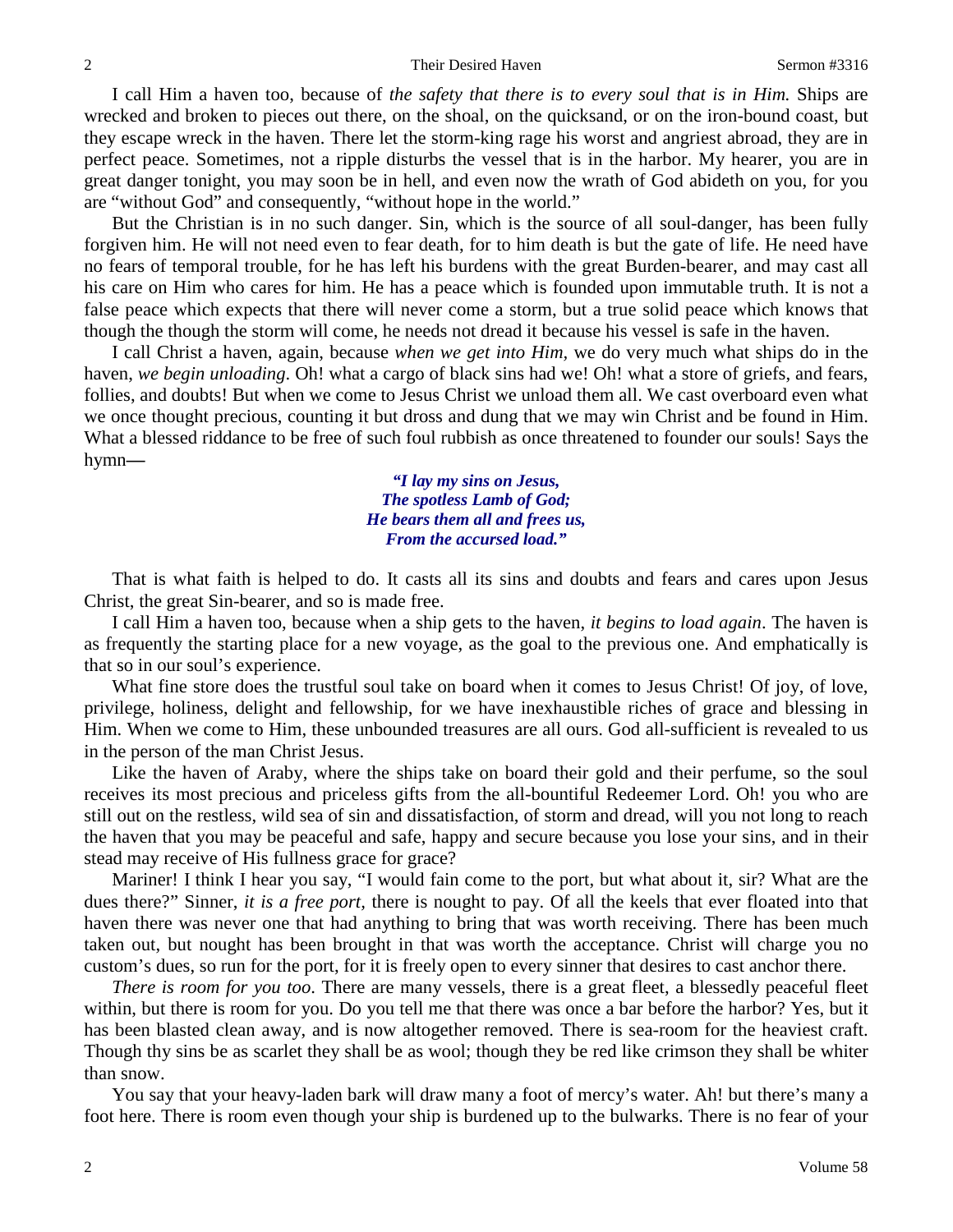2 Their Desired Haven Sermon #3316

I call Him a haven too, because of *the safety that there is to every soul that is in Him.* Ships are wrecked and broken to pieces out there, on the shoal, on the quicksand, or on the iron-bound coast, but they escape wreck in the haven. There let the storm-king rage his worst and angriest abroad, they are in perfect peace. Sometimes, not a ripple disturbs the vessel that is in the harbor. My hearer, you are in great danger tonight, you may soon be in hell, and even now the wrath of God abideth on you, for you are "without God" and consequently, "without hope in the world."

But the Christian is in no such danger. Sin, which is the source of all soul-danger, has been fully forgiven him. He will not need even to fear death, for to him death is but the gate of life. He need have no fears of temporal trouble, for he has left his burdens with the great Burden-bearer, and may cast all his care on Him who cares for him. He has a peace which is founded upon immutable truth. It is not a false peace which expects that there will never come a storm, but a true solid peace which knows that though the though the storm will come, he needs not dread it because his vessel is safe in the haven.

I call Christ a haven, again, because *when we get into Him,* we do very much what ships do in the haven, *we begin unloading*. Oh! what a cargo of black sins had we! Oh! what a store of griefs, and fears, follies, and doubts! But when we come to Jesus Christ we unload them all. We cast overboard even what we once thought precious, counting it but dross and dung that we may win Christ and be found in Him. What a blessed riddance to be free of such foul rubbish as once threatened to founder our souls! Says the hymn**—**

> *"I lay my sins on Jesus, The spotless Lamb of God; He bears them all and frees us, From the accursed load."*

That is what faith is helped to do. It casts all its sins and doubts and fears and cares upon Jesus Christ, the great Sin-bearer, and so is made free.

I call Him a haven too, because when a ship gets to the haven, *it begins to load again*. The haven is as frequently the starting place for a new voyage, as the goal to the previous one. And emphatically is that so in our soul's experience.

What fine store does the trustful soul take on board when it comes to Jesus Christ! Of joy, of love, privilege, holiness, delight and fellowship, for we have inexhaustible riches of grace and blessing in Him. When we come to Him, these unbounded treasures are all ours. God all-sufficient is revealed to us in the person of the man Christ Jesus.

Like the haven of Araby, where the ships take on board their gold and their perfume, so the soul receives its most precious and priceless gifts from the all-bountiful Redeemer Lord. Oh! you who are still out on the restless, wild sea of sin and dissatisfaction, of storm and dread, will you not long to reach the haven that you may be peaceful and safe, happy and secure because you lose your sins, and in their stead may receive of His fullness grace for grace?

Mariner! I think I hear you say, "I would fain come to the port, but what about it, sir? What are the dues there?" Sinner, *it is a free port,* there is nought to pay. Of all the keels that ever floated into that haven there was never one that had anything to bring that was worth receiving. There has been much taken out, but nought has been brought in that was worth the acceptance. Christ will charge you no custom's dues, so run for the port, for it is freely open to every sinner that desires to cast anchor there.

*There is room for you too*. There are many vessels, there is a great fleet, a blessedly peaceful fleet within, but there is room for you. Do you tell me that there was once a bar before the harbor? Yes, but it has been blasted clean away, and is now altogether removed. There is sea-room for the heaviest craft. Though thy sins be as scarlet they shall be as wool; though they be red like crimson they shall be whiter than snow.

You say that your heavy-laden bark will draw many a foot of mercy's water. Ah! but there's many a foot here. There is room even though your ship is burdened up to the bulwarks. There is no fear of your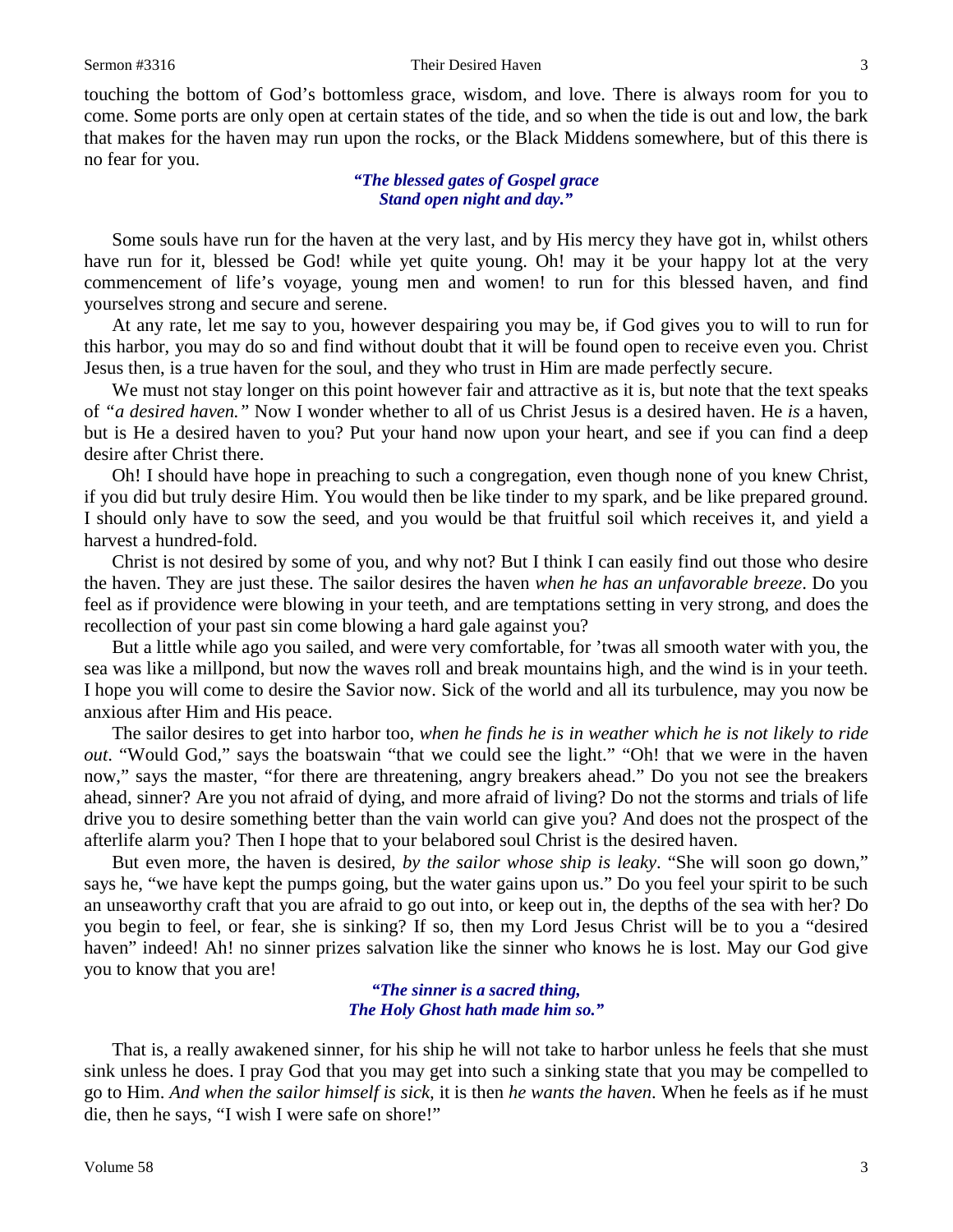touching the bottom of God's bottomless grace, wisdom, and love. There is always room for you to come. Some ports are only open at certain states of the tide, and so when the tide is out and low, the bark that makes for the haven may run upon the rocks, or the Black Middens somewhere, but of this there is no fear for you.

## *"The blessed gates of Gospel grace Stand open night and day."*

Some souls have run for the haven at the very last, and by His mercy they have got in, whilst others have run for it, blessed be God! while yet quite young. Oh! may it be your happy lot at the very commencement of life's voyage, young men and women! to run for this blessed haven, and find yourselves strong and secure and serene.

At any rate, let me say to you, however despairing you may be, if God gives you to will to run for this harbor, you may do so and find without doubt that it will be found open to receive even you. Christ Jesus then, is a true haven for the soul, and they who trust in Him are made perfectly secure.

We must not stay longer on this point however fair and attractive as it is, but note that the text speaks of *"a desired haven."* Now I wonder whether to all of us Christ Jesus is a desired haven. He *is* a haven, but is He a desired haven to you? Put your hand now upon your heart, and see if you can find a deep desire after Christ there.

Oh! I should have hope in preaching to such a congregation, even though none of you knew Christ, if you did but truly desire Him. You would then be like tinder to my spark, and be like prepared ground. I should only have to sow the seed, and you would be that fruitful soil which receives it, and yield a harvest a hundred-fold.

Christ is not desired by some of you, and why not? But I think I can easily find out those who desire the haven. They are just these. The sailor desires the haven *when he has an unfavorable breeze*. Do you feel as if providence were blowing in your teeth, and are temptations setting in very strong, and does the recollection of your past sin come blowing a hard gale against you?

But a little while ago you sailed, and were very comfortable, for 'twas all smooth water with you, the sea was like a millpond, but now the waves roll and break mountains high, and the wind is in your teeth. I hope you will come to desire the Savior now. Sick of the world and all its turbulence, may you now be anxious after Him and His peace.

The sailor desires to get into harbor too, *when he finds he is in weather which he is not likely to ride out*. "Would God," says the boatswain "that we could see the light." "Oh! that we were in the haven now," says the master, "for there are threatening, angry breakers ahead." Do you not see the breakers ahead, sinner? Are you not afraid of dying, and more afraid of living? Do not the storms and trials of life drive you to desire something better than the vain world can give you? And does not the prospect of the afterlife alarm you? Then I hope that to your belabored soul Christ is the desired haven.

But even more, the haven is desired, *by the sailor whose ship is leaky*. "She will soon go down," says he, "we have kept the pumps going, but the water gains upon us." Do you feel your spirit to be such an unseaworthy craft that you are afraid to go out into, or keep out in, the depths of the sea with her? Do you begin to feel, or fear, she is sinking? If so, then my Lord Jesus Christ will be to you a "desired haven" indeed! Ah! no sinner prizes salvation like the sinner who knows he is lost. May our God give you to know that you are!

> *"The sinner is a sacred thing, The Holy Ghost hath made him so."*

That is, a really awakened sinner, for his ship he will not take to harbor unless he feels that she must sink unless he does. I pray God that you may get into such a sinking state that you may be compelled to go to Him. *And when the sailor himself is sick,* it is then *he wants the haven*. When he feels as if he must die, then he says, "I wish I were safe on shore!"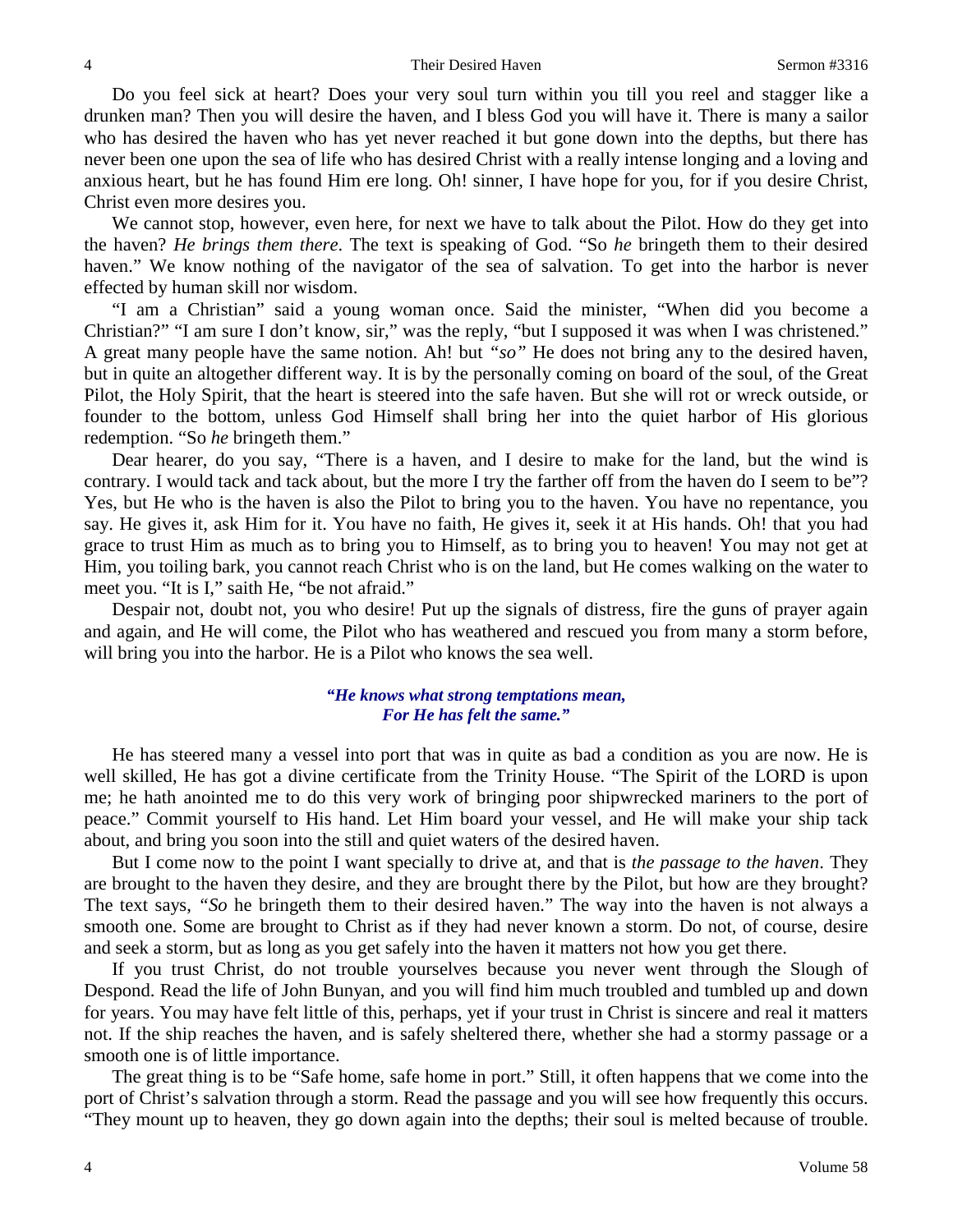Do you feel sick at heart? Does your very soul turn within you till you reel and stagger like a drunken man? Then you will desire the haven, and I bless God you will have it. There is many a sailor who has desired the haven who has yet never reached it but gone down into the depths, but there has never been one upon the sea of life who has desired Christ with a really intense longing and a loving and anxious heart, but he has found Him ere long. Oh! sinner, I have hope for you, for if you desire Christ, Christ even more desires you.

We cannot stop, however, even here, for next we have to talk about the Pilot. How do they get into the haven? *He brings them there*. The text is speaking of God. "So *he* bringeth them to their desired haven." We know nothing of the navigator of the sea of salvation. To get into the harbor is never effected by human skill nor wisdom.

"I am a Christian" said a young woman once. Said the minister, "When did you become a Christian?" "I am sure I don't know, sir," was the reply, "but I supposed it was when I was christened." A great many people have the same notion. Ah! but *"so"* He does not bring any to the desired haven, but in quite an altogether different way. It is by the personally coming on board of the soul, of the Great Pilot, the Holy Spirit, that the heart is steered into the safe haven. But she will rot or wreck outside, or founder to the bottom, unless God Himself shall bring her into the quiet harbor of His glorious redemption. "So *he* bringeth them."

Dear hearer, do you say, "There is a haven, and I desire to make for the land, but the wind is contrary. I would tack and tack about, but the more I try the farther off from the haven do I seem to be"? Yes, but He who is the haven is also the Pilot to bring you to the haven. You have no repentance, you say. He gives it, ask Him for it. You have no faith, He gives it, seek it at His hands. Oh! that you had grace to trust Him as much as to bring you to Himself, as to bring you to heaven! You may not get at Him, you toiling bark, you cannot reach Christ who is on the land, but He comes walking on the water to meet you. "It is I," saith He, "be not afraid."

Despair not, doubt not, you who desire! Put up the signals of distress, fire the guns of prayer again and again, and He will come, the Pilot who has weathered and rescued you from many a storm before, will bring you into the harbor. He is a Pilot who knows the sea well.

### *"He knows what strong temptations mean, For He has felt the same."*

He has steered many a vessel into port that was in quite as bad a condition as you are now. He is well skilled, He has got a divine certificate from the Trinity House. "The Spirit of the LORD is upon me; he hath anointed me to do this very work of bringing poor shipwrecked mariners to the port of peace." Commit yourself to His hand. Let Him board your vessel, and He will make your ship tack about, and bring you soon into the still and quiet waters of the desired haven.

But I come now to the point I want specially to drive at, and that is *the passage to the haven*. They are brought to the haven they desire, and they are brought there by the Pilot, but how are they brought? The text says, *"So* he bringeth them to their desired haven." The way into the haven is not always a smooth one. Some are brought to Christ as if they had never known a storm. Do not, of course, desire and seek a storm, but as long as you get safely into the haven it matters not how you get there.

If you trust Christ, do not trouble yourselves because you never went through the Slough of Despond. Read the life of John Bunyan, and you will find him much troubled and tumbled up and down for years. You may have felt little of this, perhaps, yet if your trust in Christ is sincere and real it matters not. If the ship reaches the haven, and is safely sheltered there, whether she had a stormy passage or a smooth one is of little importance.

The great thing is to be "Safe home, safe home in port." Still, it often happens that we come into the port of Christ's salvation through a storm. Read the passage and you will see how frequently this occurs. "They mount up to heaven, they go down again into the depths; their soul is melted because of trouble.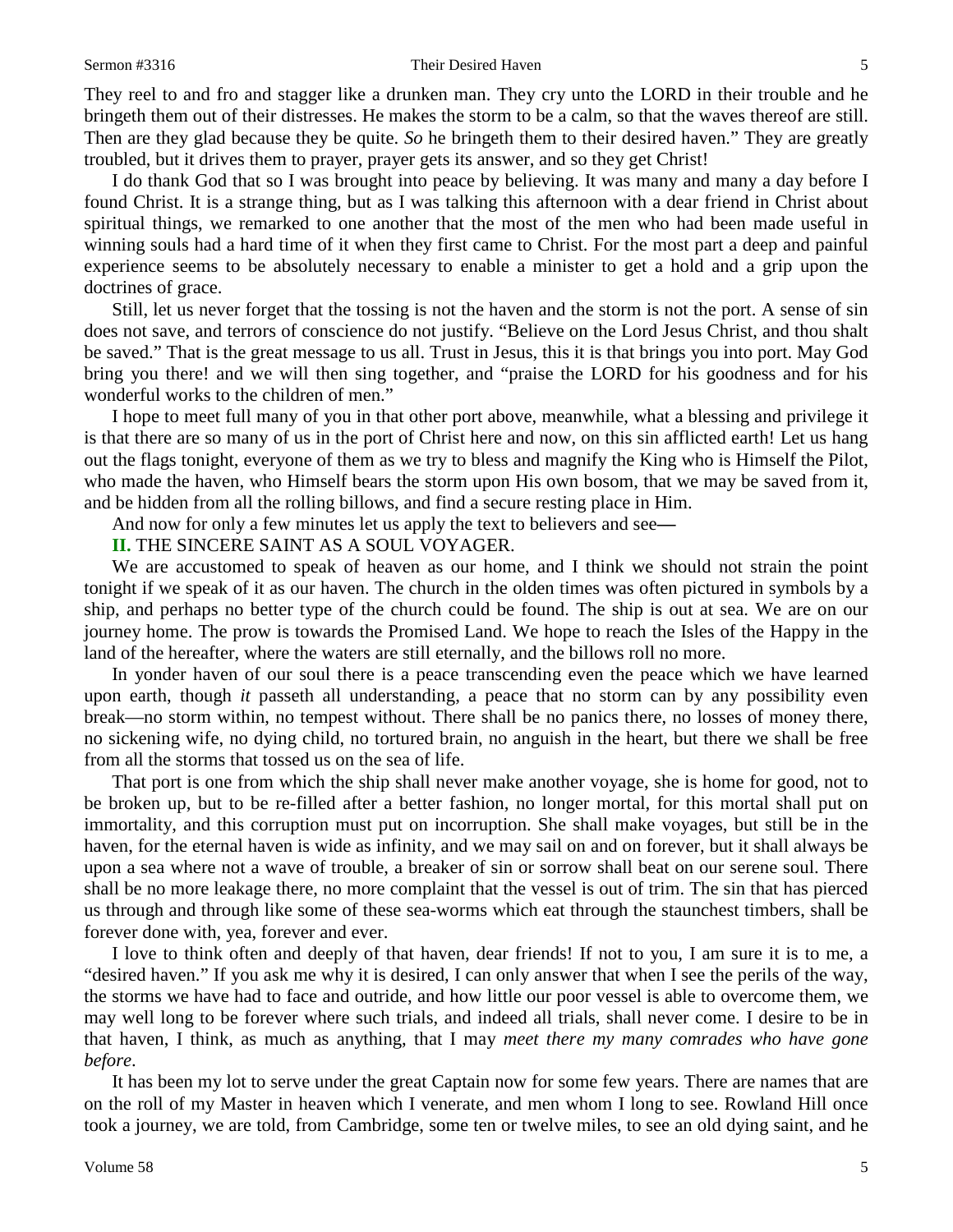#### Sermon #3316 **Sermon #3316** Their Desired Haven 5

They reel to and fro and stagger like a drunken man. They cry unto the LORD in their trouble and he bringeth them out of their distresses. He makes the storm to be a calm, so that the waves thereof are still. Then are they glad because they be quite. *So* he bringeth them to their desired haven." They are greatly troubled, but it drives them to prayer, prayer gets its answer, and so they get Christ!

I do thank God that so I was brought into peace by believing. It was many and many a day before I found Christ. It is a strange thing, but as I was talking this afternoon with a dear friend in Christ about spiritual things, we remarked to one another that the most of the men who had been made useful in winning souls had a hard time of it when they first came to Christ. For the most part a deep and painful experience seems to be absolutely necessary to enable a minister to get a hold and a grip upon the doctrines of grace.

Still, let us never forget that the tossing is not the haven and the storm is not the port. A sense of sin does not save, and terrors of conscience do not justify. "Believe on the Lord Jesus Christ, and thou shalt be saved." That is the great message to us all. Trust in Jesus, this it is that brings you into port. May God bring you there! and we will then sing together, and "praise the LORD for his goodness and for his wonderful works to the children of men."

I hope to meet full many of you in that other port above, meanwhile, what a blessing and privilege it is that there are so many of us in the port of Christ here and now, on this sin afflicted earth! Let us hang out the flags tonight, everyone of them as we try to bless and magnify the King who is Himself the Pilot, who made the haven, who Himself bears the storm upon His own bosom, that we may be saved from it, and be hidden from all the rolling billows, and find a secure resting place in Him.

And now for only a few minutes let us apply the text to believers and see**—**

**II.** THE SINCERE SAINT AS A SOUL VOYAGER.

We are accustomed to speak of heaven as our home, and I think we should not strain the point tonight if we speak of it as our haven. The church in the olden times was often pictured in symbols by a ship, and perhaps no better type of the church could be found. The ship is out at sea. We are on our journey home. The prow is towards the Promised Land. We hope to reach the Isles of the Happy in the land of the hereafter, where the waters are still eternally, and the billows roll no more.

In yonder haven of our soul there is a peace transcending even the peace which we have learned upon earth, though *it* passeth all understanding, a peace that no storm can by any possibility even break—no storm within, no tempest without. There shall be no panics there, no losses of money there, no sickening wife, no dying child, no tortured brain, no anguish in the heart, but there we shall be free from all the storms that tossed us on the sea of life.

That port is one from which the ship shall never make another voyage, she is home for good, not to be broken up, but to be re-filled after a better fashion, no longer mortal, for this mortal shall put on immortality, and this corruption must put on incorruption. She shall make voyages, but still be in the haven, for the eternal haven is wide as infinity, and we may sail on and on forever, but it shall always be upon a sea where not a wave of trouble, a breaker of sin or sorrow shall beat on our serene soul. There shall be no more leakage there, no more complaint that the vessel is out of trim. The sin that has pierced us through and through like some of these sea-worms which eat through the staunchest timbers, shall be forever done with, yea, forever and ever.

I love to think often and deeply of that haven, dear friends! If not to you, I am sure it is to me, a "desired haven." If you ask me why it is desired, I can only answer that when I see the perils of the way, the storms we have had to face and outride, and how little our poor vessel is able to overcome them, we may well long to be forever where such trials, and indeed all trials, shall never come. I desire to be in that haven, I think, as much as anything, that I may *meet there my many comrades who have gone before*.

It has been my lot to serve under the great Captain now for some few years. There are names that are on the roll of my Master in heaven which I venerate, and men whom I long to see. Rowland Hill once took a journey, we are told, from Cambridge, some ten or twelve miles, to see an old dying saint, and he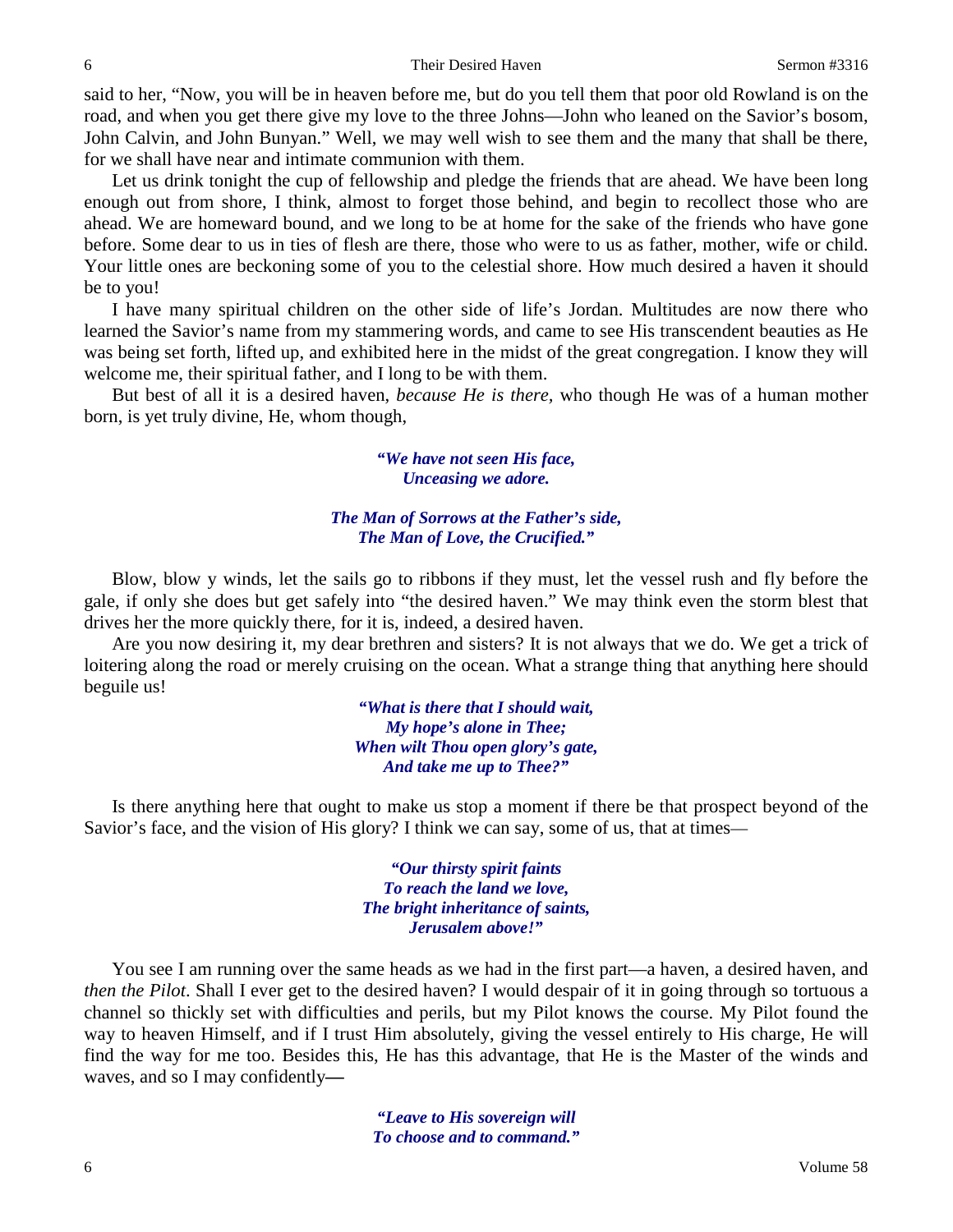said to her, "Now, you will be in heaven before me, but do you tell them that poor old Rowland is on the road, and when you get there give my love to the three Johns—John who leaned on the Savior's bosom, John Calvin, and John Bunyan." Well, we may well wish to see them and the many that shall be there, for we shall have near and intimate communion with them.

Let us drink tonight the cup of fellowship and pledge the friends that are ahead. We have been long enough out from shore, I think, almost to forget those behind, and begin to recollect those who are ahead. We are homeward bound, and we long to be at home for the sake of the friends who have gone before. Some dear to us in ties of flesh are there, those who were to us as father, mother, wife or child. Your little ones are beckoning some of you to the celestial shore. How much desired a haven it should be to you!

I have many spiritual children on the other side of life's Jordan. Multitudes are now there who learned the Savior's name from my stammering words, and came to see His transcendent beauties as He was being set forth, lifted up, and exhibited here in the midst of the great congregation. I know they will welcome me, their spiritual father, and I long to be with them.

But best of all it is a desired haven, *because He is there,* who though He was of a human mother born, is yet truly divine, He, whom though,

> *"We have not seen His face, Unceasing we adore.*

#### *The Man of Sorrows at the Father's side, The Man of Love, the Crucified."*

Blow, blow y winds, let the sails go to ribbons if they must, let the vessel rush and fly before the gale, if only she does but get safely into "the desired haven." We may think even the storm blest that drives her the more quickly there, for it is, indeed, a desired haven.

Are you now desiring it, my dear brethren and sisters? It is not always that we do. We get a trick of loitering along the road or merely cruising on the ocean. What a strange thing that anything here should beguile us!

> *"What is there that I should wait, My hope's alone in Thee; When wilt Thou open glory's gate, And take me up to Thee?"*

Is there anything here that ought to make us stop a moment if there be that prospect beyond of the Savior's face, and the vision of His glory? I think we can say, some of us, that at times—

> *"Our thirsty spirit faints To reach the land we love, The bright inheritance of saints, Jerusalem above!"*

You see I am running over the same heads as we had in the first part—a haven, a desired haven, and *then the Pilot*. Shall I ever get to the desired haven? I would despair of it in going through so tortuous a channel so thickly set with difficulties and perils, but my Pilot knows the course. My Pilot found the way to heaven Himself, and if I trust Him absolutely, giving the vessel entirely to His charge, He will find the way for me too. Besides this, He has this advantage, that He is the Master of the winds and waves, and so I may confidently**—**

> *"Leave to His sovereign will To choose and to command."*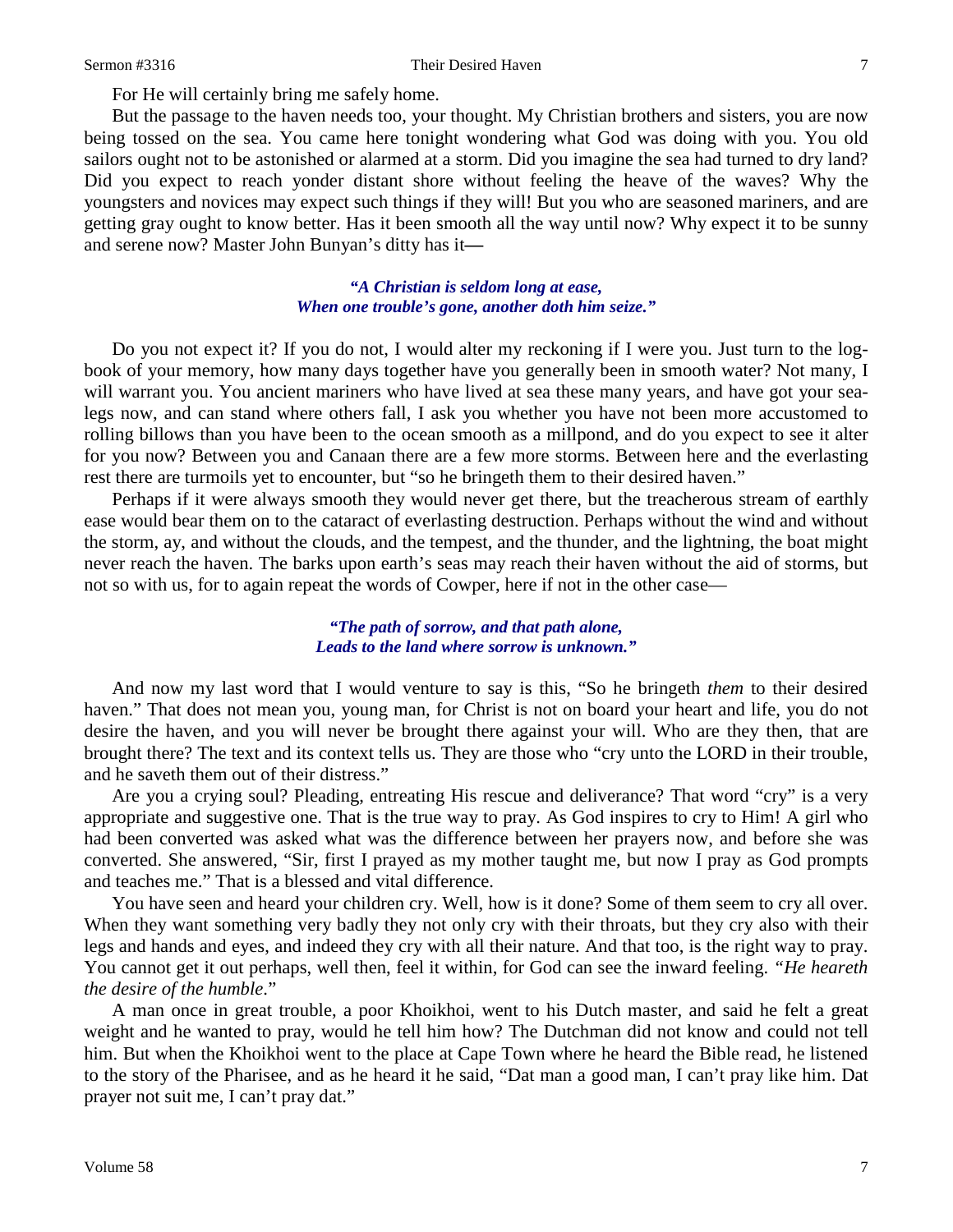Sermon #3316 Their Desired Haven 7 Their Desired Haven 7

For He will certainly bring me safely home.

But the passage to the haven needs too, your thought. My Christian brothers and sisters, you are now being tossed on the sea. You came here tonight wondering what God was doing with you. You old sailors ought not to be astonished or alarmed at a storm. Did you imagine the sea had turned to dry land? Did you expect to reach yonder distant shore without feeling the heave of the waves? Why the youngsters and novices may expect such things if they will! But you who are seasoned mariners, and are getting gray ought to know better. Has it been smooth all the way until now? Why expect it to be sunny and serene now? Master John Bunyan's ditty has it**—**

#### *"A Christian is seldom long at ease, When one trouble's gone, another doth him seize."*

Do you not expect it? If you do not, I would alter my reckoning if I were you. Just turn to the logbook of your memory, how many days together have you generally been in smooth water? Not many, I will warrant you. You ancient mariners who have lived at sea these many years, and have got your sealegs now, and can stand where others fall, I ask you whether you have not been more accustomed to rolling billows than you have been to the ocean smooth as a millpond, and do you expect to see it alter for you now? Between you and Canaan there are a few more storms. Between here and the everlasting rest there are turmoils yet to encounter, but "so he bringeth them to their desired haven."

Perhaps if it were always smooth they would never get there, but the treacherous stream of earthly ease would bear them on to the cataract of everlasting destruction. Perhaps without the wind and without the storm, ay, and without the clouds, and the tempest, and the thunder, and the lightning, the boat might never reach the haven. The barks upon earth's seas may reach their haven without the aid of storms, but not so with us, for to again repeat the words of Cowper, here if not in the other case—

#### *"The path of sorrow, and that path alone, Leads to the land where sorrow is unknown."*

And now my last word that I would venture to say is this, "So he bringeth *them* to their desired haven." That does not mean you, young man, for Christ is not on board your heart and life, you do not desire the haven, and you will never be brought there against your will. Who are they then, that are brought there? The text and its context tells us. They are those who "cry unto the LORD in their trouble, and he saveth them out of their distress."

Are you a crying soul? Pleading, entreating His rescue and deliverance? That word "cry" is a very appropriate and suggestive one. That is the true way to pray. As God inspires to cry to Him! A girl who had been converted was asked what was the difference between her prayers now, and before she was converted. She answered, "Sir, first I prayed as my mother taught me, but now I pray as God prompts and teaches me." That is a blessed and vital difference.

You have seen and heard your children cry. Well, how is it done? Some of them seem to cry all over. When they want something very badly they not only cry with their throats, but they cry also with their legs and hands and eyes, and indeed they cry with all their nature. And that too, is the right way to pray. You cannot get it out perhaps, well then, feel it within, for God can see the inward feeling. *"He heareth the desire of the humble*."

A man once in great trouble, a poor Khoikhoi, went to his Dutch master, and said he felt a great weight and he wanted to pray, would he tell him how? The Dutchman did not know and could not tell him. But when the Khoikhoi went to the place at Cape Town where he heard the Bible read, he listened to the story of the Pharisee, and as he heard it he said, "Dat man a good man, I can't pray like him. Dat prayer not suit me, I can't pray dat."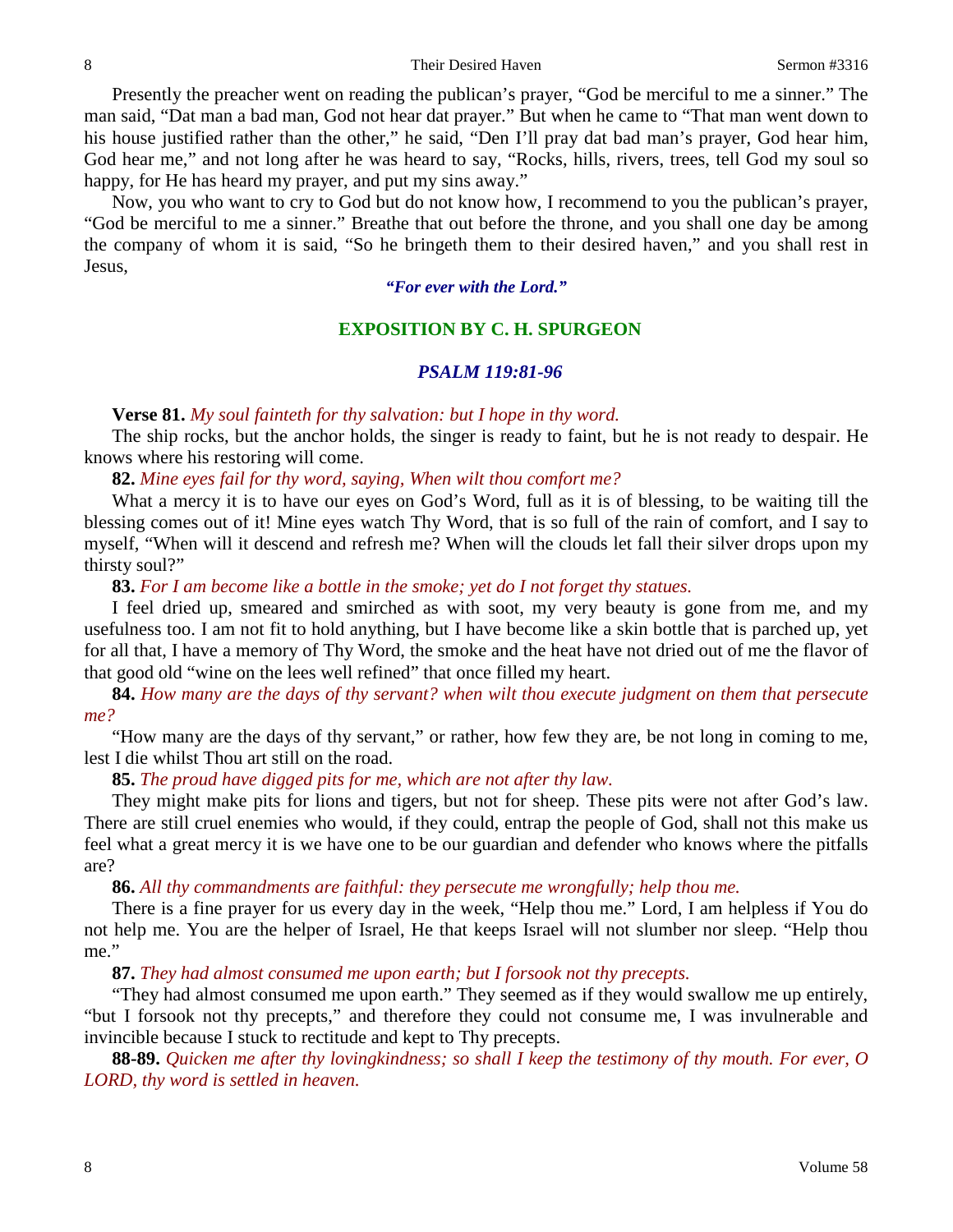Presently the preacher went on reading the publican's prayer, "God be merciful to me a sinner." The man said, "Dat man a bad man, God not hear dat prayer." But when he came to "That man went down to his house justified rather than the other," he said, "Den I'll pray dat bad man's prayer, God hear him, God hear me," and not long after he was heard to say, "Rocks, hills, rivers, trees, tell God my soul so happy, for He has heard my prayer, and put my sins away."

Now, you who want to cry to God but do not know how, I recommend to you the publican's prayer, "God be merciful to me a sinner." Breathe that out before the throne, and you shall one day be among the company of whom it is said, "So he bringeth them to their desired haven," and you shall rest in Jesus,

*"For ever with the Lord."*

# **EXPOSITION BY C. H. SPURGEON**

# *PSALM 119:81-96*

**Verse 81.** *My soul fainteth for thy salvation: but I hope in thy word.*

The ship rocks, but the anchor holds, the singer is ready to faint, but he is not ready to despair. He knows where his restoring will come.

**82.** *Mine eyes fail for thy word, saying, When wilt thou comfort me?*

What a mercy it is to have our eyes on God's Word, full as it is of blessing, to be waiting till the blessing comes out of it! Mine eyes watch Thy Word, that is so full of the rain of comfort, and I say to myself, "When will it descend and refresh me? When will the clouds let fall their silver drops upon my thirsty soul?"

### **83.** *For I am become like a bottle in the smoke; yet do I not forget thy statues.*

I feel dried up, smeared and smirched as with soot, my very beauty is gone from me, and my usefulness too. I am not fit to hold anything, but I have become like a skin bottle that is parched up, yet for all that, I have a memory of Thy Word, the smoke and the heat have not dried out of me the flavor of that good old "wine on the lees well refined" that once filled my heart.

# **84.** *How many are the days of thy servant? when wilt thou execute judgment on them that persecute me?*

"How many are the days of thy servant," or rather, how few they are, be not long in coming to me, lest I die whilst Thou art still on the road.

# **85.** *The proud have digged pits for me, which are not after thy law.*

They might make pits for lions and tigers, but not for sheep. These pits were not after God's law. There are still cruel enemies who would, if they could, entrap the people of God, shall not this make us feel what a great mercy it is we have one to be our guardian and defender who knows where the pitfalls are?

**86.** *All thy commandments are faithful: they persecute me wrongfully; help thou me.*

There is a fine prayer for us every day in the week, "Help thou me." Lord, I am helpless if You do not help me. You are the helper of Israel, He that keeps Israel will not slumber nor sleep. "Help thou me."

### **87.** *They had almost consumed me upon earth; but I forsook not thy precepts.*

"They had almost consumed me upon earth." They seemed as if they would swallow me up entirely, "but I forsook not thy precepts," and therefore they could not consume me, I was invulnerable and invincible because I stuck to rectitude and kept to Thy precepts.

**88-89.** *Quicken me after thy lovingkindness; so shall I keep the testimony of thy mouth. For ever, O LORD, thy word is settled in heaven.*